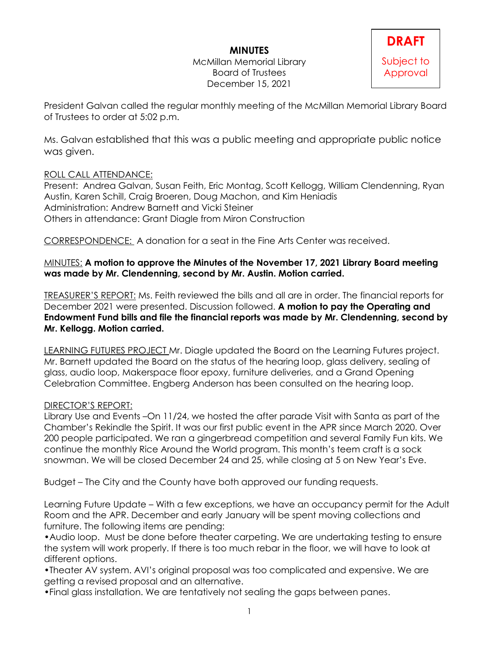# **MINUTES**

McMillan Memorial Library Board of Trustees December 15, 2021



President Galvan called the regular monthly meeting of the McMillan Memorial Library Board of Trustees to order at 5:02 p.m.

Ms. Galvan established that this was a public meeting and appropriate public notice was given.

### ROLL CALL ATTENDANCE:

Present: Andrea Galvan, Susan Feith, Eric Montag, Scott Kellogg, William Clendenning, Ryan Austin, Karen Schill, Craig Broeren, Doug Machon, and Kim Heniadis Administration: Andrew Barnett and Vicki Steiner Others in attendance: Grant Diagle from Miron Construction

CORRESPONDENCE: A donation for a seat in the Fine Arts Center was received.

### MINUTES: **A motion to approve the Minutes of the November 17, 2021 Library Board meeting was made by Mr. Clendenning, second by Mr. Austin. Motion carried.**

TREASURER'S REPORT: Ms. Feith reviewed the bills and all are in order. The financial reports for December 2021 were presented. Discussion followed. **A motion to pay the Operating and Endowment Fund bills and file the financial reports was made by Mr. Clendenning, second by Mr. Kellogg. Motion carried.**

LEARNING FUTURES PROJECT Mr. Diagle updated the Board on the Learning Futures project. Mr. Barnett updated the Board on the status of the hearing loop, glass delivery, sealing of glass, audio loop, Makerspace floor epoxy, furniture deliveries, and a Grand Opening Celebration Committee. Engberg Anderson has been consulted on the hearing loop.

### DIRECTOR'S REPORT:

Library Use and Events –On 11/24, we hosted the after parade Visit with Santa as part of the Chamber's Rekindle the Spirit. It was our first public event in the APR since March 2020. Over 200 people participated. We ran a gingerbread competition and several Family Fun kits. We continue the monthly Rice Around the World program. This month's teem craft is a sock snowman. We will be closed December 24 and 25, while closing at 5 on New Year's Eve.

Budget – The City and the County have both approved our funding requests.

Learning Future Update – With a few exceptions, we have an occupancy permit for the Adult Room and the APR. December and early January will be spent moving collections and furniture. The following items are pending:

•Audio loop. Must be done before theater carpeting. We are undertaking testing to ensure the system will work properly. If there is too much rebar in the floor, we will have to look at different options.

•Theater AV system. AVI's original proposal was too complicated and expensive. We are getting a revised proposal and an alternative.

•Final glass installation. We are tentatively not sealing the gaps between panes.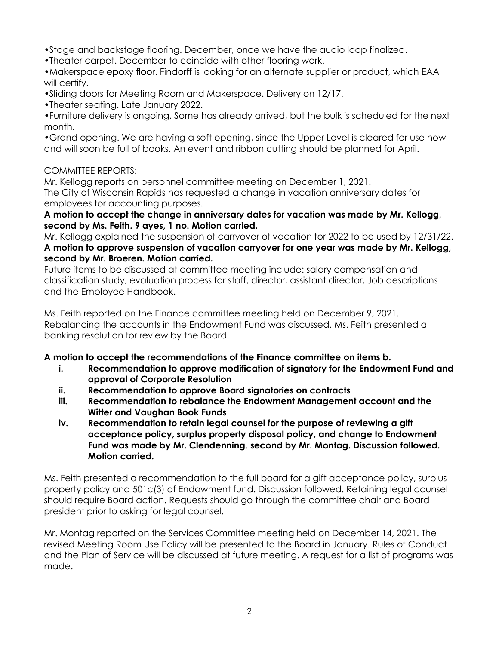•Stage and backstage flooring. December, once we have the audio loop finalized.

•Theater carpet. December to coincide with other flooring work.

•Makerspace epoxy floor. Findorff is looking for an alternate supplier or product, which EAA will certify.

•Sliding doors for Meeting Room and Makerspace. Delivery on 12/17.

•Theater seating. Late January 2022.

•Furniture delivery is ongoing. Some has already arrived, but the bulk is scheduled for the next month.

•Grand opening. We are having a soft opening, since the Upper Level is cleared for use now and will soon be full of books. An event and ribbon cutting should be planned for April.

# COMMITTEE REPORTS:

Mr. Kellogg reports on personnel committee meeting on December 1, 2021.

The City of Wisconsin Rapids has requested a change in vacation anniversary dates for employees for accounting purposes.

#### **A motion to accept the change in anniversary dates for vacation was made by Mr. Kellogg, second by Ms. Feith. 9 ayes, 1 no. Motion carried.**

Mr. Kellogg explained the suspension of carryover of vacation for 2022 to be used by 12/31/22. **A motion to approve suspension of vacation carryover for one year was made by Mr. Kellogg, second by Mr. Broeren. Motion carried.**

Future items to be discussed at committee meeting include: salary compensation and classification study, evaluation process for staff, director, assistant director, Job descriptions and the Employee Handbook.

Ms. Feith reported on the Finance committee meeting held on December 9, 2021. Rebalancing the accounts in the Endowment Fund was discussed. Ms. Feith presented a banking resolution for review by the Board.

### **A motion to accept the recommendations of the Finance committee on items b.**

- **i. Recommendation to approve modification of signatory for the Endowment Fund and approval of Corporate Resolution**
- **ii. Recommendation to approve Board signatories on contracts**
- **iii. Recommendation to rebalance the Endowment Management account and the Witter and Vaughan Book Funds**
- **iv. Recommendation to retain legal counsel for the purpose of reviewing a gift acceptance policy, surplus property disposal policy, and change to Endowment Fund was made by Mr. Clendenning, second by Mr. Montag. Discussion followed. Motion carried.**

Ms. Feith presented a recommendation to the full board for a gift acceptance policy, surplus property policy and 501c(3) of Endowment fund. Discussion followed. Retaining legal counsel should require Board action. Requests should go through the committee chair and Board president prior to asking for legal counsel.

Mr. Montag reported on the Services Committee meeting held on December 14, 2021. The revised Meeting Room Use Policy will be presented to the Board in January. Rules of Conduct and the Plan of Service will be discussed at future meeting. A request for a list of programs was made.